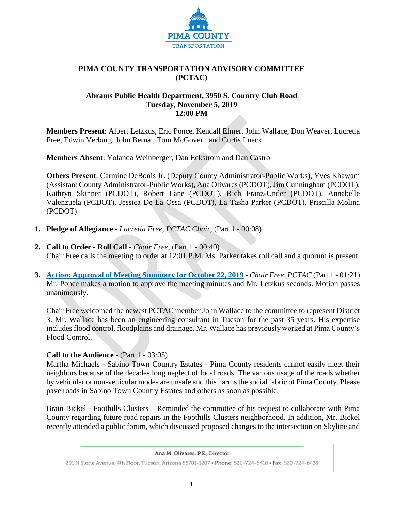

### **PIMA COUNTY TRANSPORTATION ADVISORY COMMITTEE (PCTAC)**

#### **Abrams Public Health Department, 3950 S. Country Club Road Tuesday, November 5, 2019 12:00 PM**

**Members Present**: Albert Letzkus, Eric Ponce, Kendall Elmer, John Wallace, Don Weaver, Lucretia Free, Edwin Verburg, John Bernal, Tom McGovern and Curtis Lueck

**Members Absent**: Yolanda Weinberger, Dan Eckstrom and Dan Castro

**Others Present**: Carmine DeBonis Jr. (Deputy County Administrator-Public Works), Yves Khawam (Assistant County Administrator-Public Works), Ana Olivares (PCDOT), Jim Cunningham (PCDOT), Kathryn Skinner (PCDOT), Robert Lane (PCDOT), Rich Franz-Under (PCDOT), Annabelle Valenzuela (PCDOT), Jessica De La Ossa (PCDOT), La Tasha Parker (PCDOT), Priscilla Molina (PCDOT)

- **1. Pledge of Allegiance -** *Lucretia Free, PCTAC Chair,* (Part 1 **-** 00:08)
- **2. Call to Order - Roll Call -** *Chair Free*, (Part 1 **-** 00:40) Chair Free calls the meeting to order at 12:01 P.M. Ms. Parker takes roll call and a quorum is present.
- **3. [Action: Approval of Meeting Summary for October 22, 2019](https://webcms.pima.gov/UserFiles/Servers/Server_6/File/Government/Transportation/TransportationAdvisoryCommittee/Minutes/PCTAC_Meeting%20Minutes%20-%20FINAL%20DRAFT%2010-30-19.pdf) -** *Chair Free*, *PCTAC* (Part 1 01:21) Mr. Ponce makes a motion to approve the meeting minutes and Mr. Letzkus seconds. Motion passes unanimously.

Chair Free welcomed the newest PCTAC member John Wallace to the committee to represent District 3. Mr. Wallace has been an engineering consultant in Tucson for the past 35 years. His expertise includes flood control, floodplains and drainage. Mr. Wallace has previously worked at Pima County's Flood Control.

### **Call to the Audience** - (Part 1 - 03:05)

Martha Michaels - Sabino Town Country Estates - Pima County residents cannot easily meet their neighbors because of the decades long neglect of local roads. The various usage of the roads whether by vehicular or non-vehicular modes are unsafe and this harms the social fabric of Pima County. Please pave roads in Sabino Town Country Estates and others as soon as possible.

Brain Bickel - Foothills Clusters – Reminded the committee of his request to collaborate with Pima County regarding future road repairs in the Foothills Clusters neighborhood. In addition, Mr. Bickel recently attended a public forum, which discussed proposed changes to the intersection on Skyline and

Ana M. Olivares, P.E., Director

<sup>201</sup> N.Stone Avenue, 4th Floor, Tucson, Arizona 85701-1207 . Phone: 520-724-6410 . Fax: 520-724-6439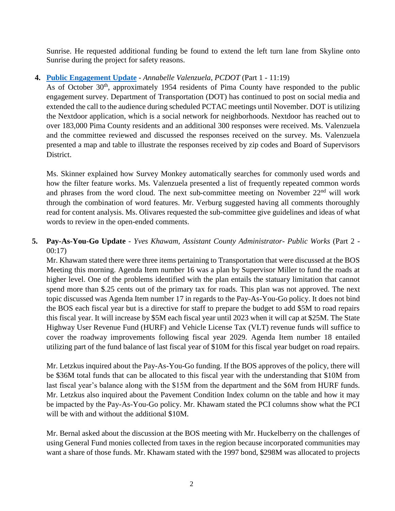Sunrise. He requested additional funding be found to extend the left turn lane from Skyline onto Sunrise during the project for safety reasons.

### **4. [Public Engagement Update](https://webcms.pima.gov/UserFiles/Servers/Server_6/File/Government/Transportation/TransportationAdvisoryCommittee/DocumentsTab/Nov%205,%202019/November%20Public%20Engagement.pdf)** - *Annabelle Valenzuela, PCDOT* (Part 1 - 11:19)

As of October 30<sup>th</sup>, approximately 1954 residents of Pima County have responded to the public engagement survey. Department of Transportation (DOT) has continued to post on social media and extended the call to the audience during scheduled PCTAC meetings until November. DOT is utilizing the Nextdoor application, which is a social network for neighborhoods. Nextdoor has reached out to over 183,000 Pima County residents and an additional 300 responses were received. Ms. Valenzuela and the committee reviewed and discussed the responses received on the survey. Ms. Valenzuela presented a map and table to illustrate the responses received by zip codes and Board of Supervisors District.

Ms. Skinner explained how Survey Monkey automatically searches for commonly used words and how the filter feature works. Ms. Valenzuela presented a list of frequently repeated common words and phrases from the word cloud. The next sub-committee meeting on November 22<sup>nd</sup> will work through the combination of word features. Mr. Verburg suggested having all comments thoroughly read for content analysis. Ms. Olivares requested the sub-committee give guidelines and ideas of what words to review in the open-ended comments.

# **5. Pay-As-You-Go Update** - *Yves Khawam, Assistant County Administrator- Public Works* (Part 2 - 00:17)

Mr. Khawam stated there were three items pertaining to Transportation that were discussed at the BOS Meeting this morning. Agenda Item number 16 was a plan by Supervisor Miller to fund the roads at higher level. One of the problems identified with the plan entails the statuary limitation that cannot spend more than \$.25 cents out of the primary tax for roads. This plan was not approved. The next topic discussed was Agenda Item number 17 in regards to the Pay-As-You-Go policy. It does not bind the BOS each fiscal year but is a directive for staff to prepare the budget to add \$5M to road repairs this fiscal year. It will increase by \$5M each fiscal year until 2023 when it will cap at \$25M. The State Highway User Revenue Fund (HURF) and Vehicle License Tax (VLT) revenue funds will suffice to cover the roadway improvements following fiscal year 2029. Agenda Item number 18 entailed utilizing part of the fund balance of last fiscal year of \$10M for this fiscal year budget on road repairs.

Mr. Letzkus inquired about the Pay-As-You-Go funding. If the BOS approves of the policy, there will be \$36M total funds that can be allocated to this fiscal year with the understanding that \$10M from last fiscal year's balance along with the \$15M from the department and the \$6M from HURF funds. Mr. Letzkus also inquired about the Pavement Condition Index column on the table and how it may be impacted by the Pay-As-You-Go policy. Mr. Khawam stated the PCI columns show what the PCI will be with and without the additional \$10M.

Mr. Bernal asked about the discussion at the BOS meeting with Mr. Huckelberry on the challenges of using General Fund monies collected from taxes in the region because incorporated communities may want a share of those funds. Mr. Khawam stated with the 1997 bond, \$298M was allocated to projects